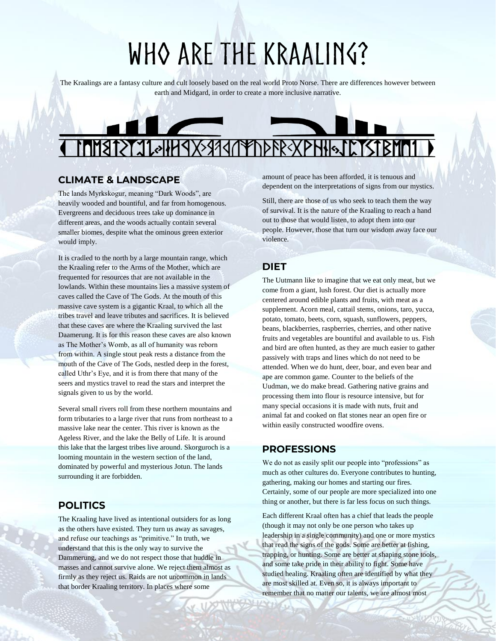# WHO ARE THE KRAALING?

The Kraalings are a fantasy culture and cult loosely based on the real world Proto Norse. There are differences however between earth and Midgard, in order to create a more inclusive narrative.

### **MERRY 110449X59947** DPPREXPHISTETSTBMD1

#### **CLIMATE & LANDSCAPE**

The lands Myrkskogur, meaning "Dark Woods", are heavily wooded and bountiful, and far from homogenous. Evergreens and deciduous trees take up dominance in different areas, and the woods actually contain several smaller biomes, despite what the ominous green exterior would imply.

It is cradled to the north by a large mountain range, which the Kraaling refer to the Arms of the Mother, which are frequented for resources that are not available in the lowlands. Within these mountains lies a massive system of caves called the Cave of The Gods. At the mouth of this massive cave system is a gigantic Kraal, to which all the tribes travel and leave tributes and sacrifices. It is believed that these caves are where the Kraaling survived the last Daamerung. It is for this reason these caves are also known as The Mother's Womb, as all of humanity was reborn from within. A single stout peak rests a distance from the mouth of the Cave of The Gods, nestled deep in the forest, called Uthr's Eye, and it is from there that many of the seers and mystics travel to read the stars and interpret the signals given to us by the world.

Several small rivers roll from these northern mountains and form tributaries to a large river that runs from northeast to a massive lake near the center. This river is known as the Ageless River, and the lake the Belly of Life. It is around this lake that the largest tribes live around. Skorguroch is a looming mountain in the western section of the land, dominated by powerful and mysterious Jotun. The lands surrounding it are forbidden.

#### **POLITICS**

The Kraaling have lived as intentional outsiders for as long as the others have existed. They turn us away as savages, and refuse our teachings as "primitive." In truth, we understand that this is the only way to survive the Dammerung, and we do not respect those that huddle in masses and cannot survive alone. We reject them almost as firmly as they reject us. Raids are not uncommon in lands that border Kraaling territory. In places where some

amount of peace has been afforded, it is tenuous and dependent on the interpretations of signs from our mystics.

Still, there are those of us who seek to teach them the way of survival. It is the nature of the Kraaling to reach a hand out to those that would listen, to adopt them into our people. However, those that turn our wisdom away face our violence.

#### **DIET**

The Uutmann like to imagine that we eat only meat, but we come from a giant, lush forest. Our diet is actually more centered around edible plants and fruits, with meat as a supplement. Acorn meal, cattail stems, onions, taro, yucca, potato, tomato, beets, corn, squash, sunflowers, peppers, beans, blackberries, raspberries, cherries, and other native fruits and vegetables are bountiful and available to us. Fish and bird are often hunted, as they are much easier to gather passively with traps and lines which do not need to be attended. When we do hunt, deer, boar, and even bear and ape are common game. Counter to the beliefs of the Uudman, we do make bread. Gathering native grains and processing them into flour is resource intensive, but for many special occasions it is made with nuts, fruit and animal fat and cooked on flat stones near an open fire or within easily constructed woodfire ovens.

#### **PROFESSIONS**

We do not as easily split our people into "professions" as much as other cultures do. Everyone contributes to hunting, gathering, making our homes and starting our fires. Certainly, some of our people are more specialized into one thing or another, but there is far less focus on such things.

Each different Kraal often has a chief that leads the people (though it may not only be one person who takes up leadership in a single community) and one or more mystics that read the signs of the gods. Some are better at fishing, trapping, or hunting. Some are better at shaping stone tools, and some take pride in their ability to fight. Some have studied healing. Kraaling often are identified by what they are most skilled at. Even so, it is always important to remember that no matter our talents, we are almost most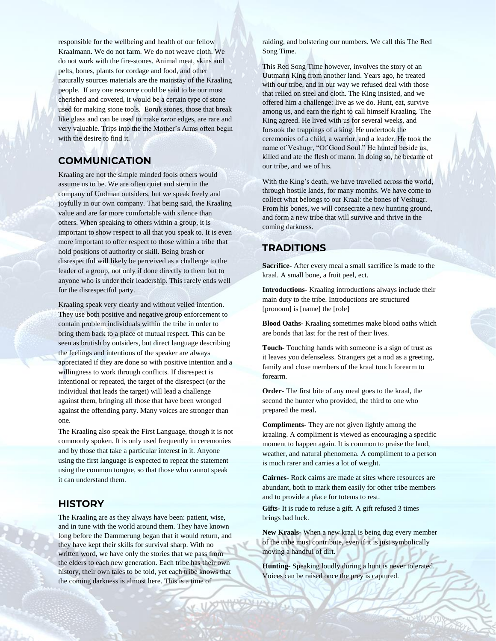responsible for the wellbeing and health of our fellow Kraalmann. We do not farm. We do not weave cloth. We do not work with the fire-stones. Animal meat, skins and pelts, bones, plants for cordage and food, and other naturally sources materials are the mainstay of the Kraaling people. If any one resource could be said to be our most cherished and coveted, it would be a certain type of stone used for making stone tools. Eoruk stones, those that break like glass and can be used to make razor edges, are rare and very valuable. Trips into the the Mother's Arms often begin with the desire to find it.

#### **COMMUNICATION**

Kraaling are not the simple minded fools others would assume us to be. We are often quiet and stern in the company of Uudman outsiders, but we speak freely and joyfully in our own company. That being said, the Kraaling value and are far more comfortable with silence than others. When speaking to others within a group, it is important to show respect to all that you speak to. It is even more important to offer respect to those within a tribe that hold positions of authority or skill. Being brash or disrespectful will likely be perceived as a challenge to the leader of a group, not only if done directly to them but to anyone who is under their leadership. This rarely ends well for the disrespectful party.

Kraaling speak very clearly and without veiled intention. They use both positive and negative group enforcement to contain problem individuals within the tribe in order to bring them back to a place of mutual respect. This can be seen as brutish by outsiders, but direct language describing the feelings and intentions of the speaker are always appreciated if they are done so with positive intention and a willingness to work through conflicts. If disrespect is intentional or repeated, the target of the disrespect (or the individual that leads the target) will lead a challenge against them, bringing all those that have been wronged against the offending party. Many voices are stronger than one.

The Kraaling also speak the First Language, though it is not commonly spoken. It is only used frequently in ceremonies and by those that take a particular interest in it. Anyone using the first language is expected to repeat the statement using the common tongue, so that those who cannot speak it can understand them.

#### **HISTORY**

The Kraaling are as they always have been: patient, wise, and in tune with the world around them. They have known long before the Dammerung began that it would return, and they have kept their skills for survival sharp. With no written word, we have only the stories that we pass from the elders to each new generation. Each tribe has their own history, their own tales to be told, yet each tribe knows that the coming darkness is almost here. This is a time of

raiding, and bolstering our numbers. We call this The Red Song Time.

This Red Song Time however, involves the story of an Uutmann King from another land. Years ago, he treated with our tribe, and in our way we refused deal with those that relied on steel and cloth. The King insisted, and we offered him a challenge: live as we do. Hunt, eat, survive among us, and earn the right to call himself Kraaling. The King agreed. He lived with us for several weeks, and forsook the trappings of a king. He undertook the ceremonies of a child, a warrior, and a leader. He took the name of Veshugr, "Of Good Soul." He hunted beside us, killed and ate the flesh of mann. In doing so, he became of our tribe, and we of his.

With the King's death, we have travelled across the world, through hostile lands, for many months. We have come to collect what belongs to our Kraal: the bones of Veshugr. From his bones, we will consecrate a new hunting ground, and form a new tribe that will survive and thrive in the coming darkness.

#### **TRADITIONS**

**Sacrifice-** After every meal a small sacrifice is made to the kraal. A small bone, a fruit peel, ect.

**Introductions-** Kraaling introductions always include their main duty to the tribe. Introductions are structured [pronoun] is [name] the [role]

**Blood Oaths-** Kraaling sometimes make blood oaths which are bonds that last for the rest of their lives.

**Touch-** Touching hands with someone is a sign of trust as it leaves you defenseless. Strangers get a nod as a greeting, family and close members of the kraal touch forearm to forearm.

**Order-** The first bite of any meal goes to the kraal, the second the hunter who provided, the third to one who prepared the meal**.**

**Compliments-** They are not given lightly among the kraaling. A compliment is viewed as encouraging a specific moment to happen again. It is common to praise the land, weather, and natural phenomena. A compliment to a person is much rarer and carries a lot of weight.

**Cairnes-** Rock cairns are made at sites where resources are abundant, both to mark them easily for other tribe members and to provide a place for totems to rest.

**Gifts-** It is rude to refuse a gift. A gift refused 3 times brings bad luck.

**New Kraals-** When a new kraal is being dug every member of the tribe must contribute, even if it is just symbolically moving a handful of dirt.

**Hunting-** Speaking loudly during a hunt is never tolerated. Voices can be raised once the prey is captured.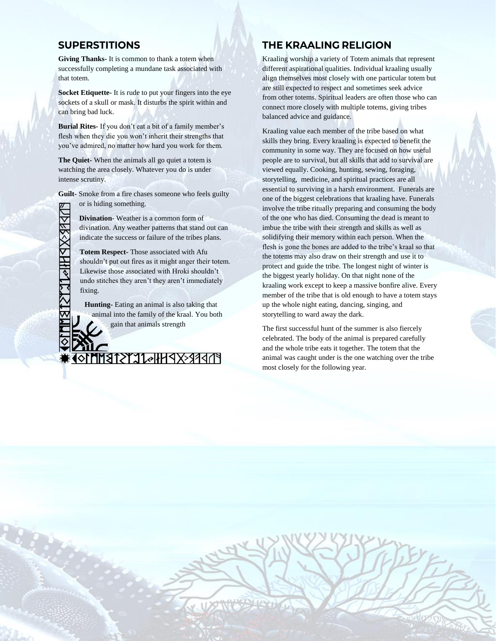#### **SUPERSTITIONS**

**Giving Thanks-** It is common to thank a totem when successfully completing a mundane task associated with that totem.

**Socket Etiquette-** It is rude to put your fingers into the eye sockets of a skull or mask. It disturbs the spirit within and can bring bad luck.

**Burial Rites-** If you don't eat a bit of a family member's flesh when they die you won't inherit their strengths that you've admired, no matter how hard you work for them.

**The Quiet-** When the animals all go quiet a totem is watching the area closely. Whatever you do is under intense scrutiny.

**Guilt-** Smoke from a fire chases someone who feels guilty or is hiding something.

> **Divination-** Weather is a common form of divination. Any weather patterns that stand out can indicate the success or failure of the tribes plans.

**Totem Respect-** Those associated with Afu shouldn't put out fires as it might anger their totem. Likewise those associated with Hroki shouldn't undo stitches they aren't they aren't immediately fixing.

**Hunting-** Eating an animal is also taking that animal into the family of the kraal. You both gain that animals strength

**ATRIXRHIGITISTE** 

## **THE KRAALING RELIGION**

Kraaling worship a variety of Totem animals that represent different aspirational qualities. Individual kraaling usually align themselves most closely with one particular totem but are still expected to respect and sometimes seek advice from other totems. Spiritual leaders are often those who can connect more closely with multiple totems, giving tribes balanced advice and guidance.

Kraaling value each member of the tribe based on what skills they bring. Every kraaling is expected to benefit the community in some way. They are focused on how useful people are to survival, but all skills that add to survival are viewed equally. Cooking, hunting, sewing, foraging, storytelling, medicine, and spiritual practices are all essential to surviving in a harsh environment. Funerals are one of the biggest celebrations that kraaling have. Funerals involve the tribe ritually preparing and consuming the body of the one who has died. Consuming the dead is meant to imbue the tribe with their strength and skills as well as solidifying their memory within each person. When the flesh is gone the bones are added to the tribe's kraal so that the totems may also draw on their strength and use it to protect and guide the tribe. The longest night of winter is the biggest yearly holiday. On that night none of the kraaling work except to keep a massive bonfire alive. Every member of the tribe that is old enough to have a totem stays up the whole night eating, dancing, singing, and storytelling to ward away the dark.

The first successful hunt of the summer is also fiercely celebrated. The body of the animal is prepared carefully and the whole tribe eats it together. The totem that the animal was caught under is the one watching over the tribe most closely for the following year.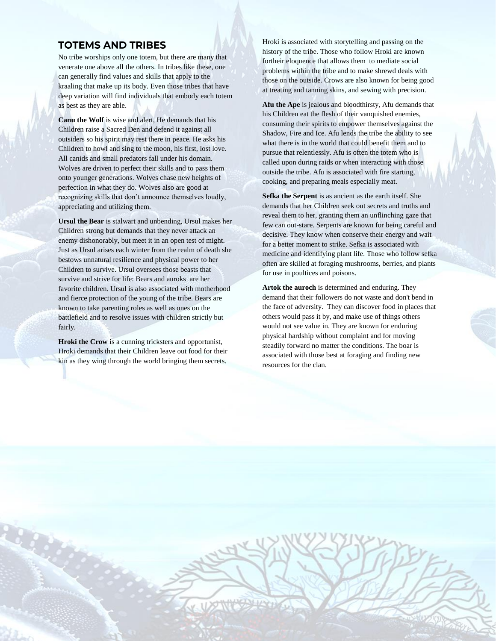#### **TOTEMS AND TRIBES**

No tribe worships only one totem, but there are many that venerate one above all the others. In tribes like these, one can generally find values and skills that apply to the kraaling that make up its body. Even those tribes that have deep variation will find individuals that embody each totem as best as they are able.

**Canu the Wolf** is wise and alert, He demands that his Children raise a Sacred Den and defend it against all outsiders so his spirit may rest there in peace. He asks his Children to howl and sing to the moon, his first, lost love. All canids and small predators fall under his domain. Wolves are driven to perfect their skills and to pass them onto younger generations. Wolves chase new heights of perfection in what they do. Wolves also are good at recognizing skills that don't announce themselves loudly, appreciating and utilizing them.

**Ursul the Bear** is stalwart and unbending, Ursul makes her Children strong but demands that they never attack an enemy dishonorably, but meet it in an open test of might. Just as Ursul arises each winter from the realm of death she bestows unnatural resilience and physical power to her Children to survive. Ursul oversees those beasts that survive and strive for life: Bears and auroks are her favorite children. Ursul is also associated with motherhood and fierce protection of the young of the tribe. Bears are known to take parenting roles as well as ones on the battlefield and to resolve issues with children strictly but fairly.

**Hroki the Crow** is a cunning tricksters and opportunist, Hroki demands that their Children leave out food for their kin as they wing through the world bringing them secrets.

Hroki is associated with storytelling and passing on the history of the tribe. Those who follow Hroki are known fortheir eloquence that allows them to mediate social problems within the tribe and to make shrewd deals with those on the outside. Crows are also known for being good at treating and tanning skins, and sewing with precision.

**Afu the Ape** is jealous and bloodthirsty, Afu demands that his Children eat the flesh of their vanquished enemies, consuming their spirits to empower themselves against the Shadow, Fire and Ice. Afu lends the tribe the ability to see what there is in the world that could benefit them and to pursue that relentlessly. Afu is often the totem who is called upon during raids or when interacting with those outside the tribe. Afu is associated with fire starting, cooking, and preparing meals especially meat.

**Sefka the Serpent** is as ancient as the earth itself. She demands that her Children seek out secrets and truths and reveal them to her, granting them an unflinching gaze that few can out-stare. Serpents are known for being careful and decisive. They know when conserve their energy and wait for a better moment to strike. Sefka is associated with medicine and identifying plant life. Those who follow sefka often are skilled at foraging mushrooms, berries, and plants for use in poultices and poisons.

**Artok the auroch** is determined and enduring. They demand that their followers do not waste and don't bend in the face of adversity. They can discover food in places that others would pass it by, and make use of things others would not see value in. They are known for enduring physical hardship without complaint and for moving steadily forward no matter the conditions. The boar is associated with those best at foraging and finding new resources for the clan.